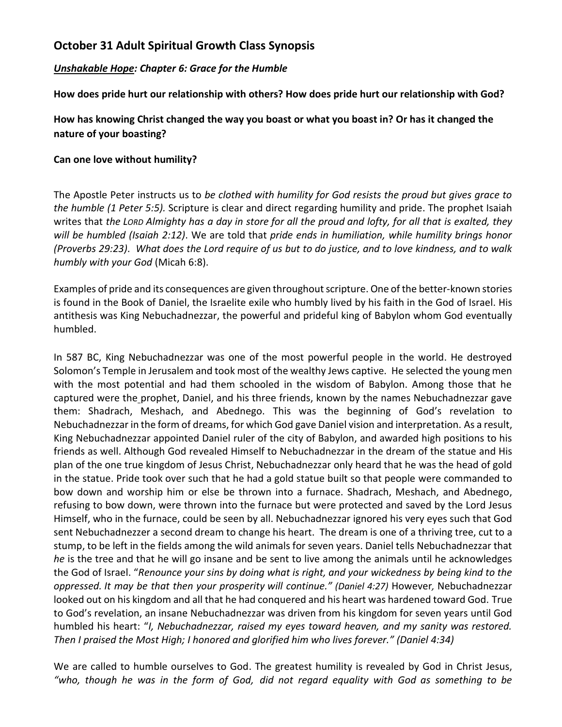## **October 31 Adult Spiritual Growth Class Synopsis**

### *Unshakable Hope: Chapter 6: Grace for the Humble*

**How does pride hurt our relationship with others? How does pride hurt our relationship with God?**

## **How has knowing Christ changed the way you boast or what you boast in? Or has it changed the nature of your boasting?**

#### **Can one love without humility?**

The Apostle Peter instructs us to *be clothed with humility for God resists the proud but gives grace to the humble (1 Peter 5:5).* Scripture is clear and direct regarding humility and pride. The prophet Isaiah writes that *the LORD Almighty has a day in store for all the proud and lofty, for all that is exalted, they will be humbled (Isaiah 2:12)*. We are told that *pride ends in humiliation, while humility brings honor (Proverbs 29:23)*. *What does the Lord require of us but to do justice, and to love kindness, and to walk humbly with your God* (Micah 6:8).

Examples of pride and its consequences are given throughout scripture. One of the better-known stories is found in the Book of Daniel, the Israelite exile who humbly lived by his faith in the God of Israel. His antithesis was King Nebuchadnezzar, the powerful and prideful king of Babylon whom God eventually humbled.

In 587 BC, King Nebuchadnezzar was one of the most powerful people in the world. He destroyed Solomon's Temple in Jerusalem and took most of the wealthy Jews captive. He selected the young men with the most potential and had them schooled in the wisdom of Babylon. Among those that he captured were the [prophet, Daniel,](https://overviewbible.com/prophet-daniel-facts/) and his three friends, known by the names Nebuchadnezzar gave them: Shadrach, Meshach, and Abednego. This was the beginning of God's revelation to Nebuchadnezzar in the form of dreams, for which God gave Daniel vision and interpretation. As a result, King Nebuchadnezzar appointed Daniel ruler of the city of Babylon, and awarded high positions to his friends as well. Although God revealed Himself to Nebuchadnezzar in the dream of the statue and His plan of the one true kingdom of Jesus Christ, Nebuchadnezzar only heard that he was the head of gold in the statue. Pride took over such that he had a gold statue built so that people were commanded to bow down and worship him or else be thrown into a furnace. Shadrach, Meshach, and Abednego, refusing to bow down, were thrown into the furnace but were protected and saved by the Lord Jesus Himself, who in the furnace, could be seen by all. Nebuchadnezzar ignored his very eyes such that God sent Nebuchadnezzer a second dream to change his heart. The dream is one of a thriving tree, cut to a stump, to be left in the fields among the wild animals for seven years. Daniel tells Nebuchadnezzar that *he* is the tree and that he will go insane and be sent to live among the animals until he acknowledges the God of Israel. "*Renounce your sins by doing what is right, and your wickedness by being kind to the oppressed. It may be that then your prosperity will continue." (Daniel 4:27)* However*,* Nebuchadnezzar looked out on his kingdom and all that he had conquered and his heart was hardened toward God. True to God's revelation, an insane Nebuchadnezzar was driven from his kingdom for seven years until God humbled his heart: "*I, Nebuchadnezzar, raised my eyes toward heaven, and my sanity was restored. Then I praised the Most High; I honored and glorified him who lives forever." (Daniel 4:34)*

We are called to humble ourselves to God. The greatest humility is revealed by God in Christ Jesus, *"who, though he was in the form of God, did not regard equality with God as something to be*